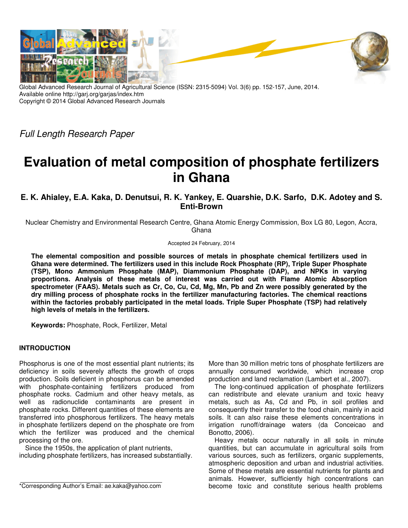

Global Advanced Research Journal of Agricultural Science (ISSN: 2315-5094) Vol. 3(6) pp. 152-157, June, 2014. Available online http://garj.org/garjas/index.htm Copyright © 2014 Global Advanced Research Journals

*Full Length Research Paper*

# **Evaluation of metal composition of phosphate fertilizers in Ghana**

**E. K. Ahialey, E.A. Kaka, D. Denutsui, R. K. Yankey, E. Quarshie, D.K. Sarfo, D.K. Adotey and S. Enti-Brown** 

Nuclear Chemistry and Environmental Research Centre, Ghana Atomic Energy Commission, Box LG 80, Legon, Accra, **Ghana** 

Accepted 24 February, 2014

**The elemental composition and possible sources of metals in phosphate chemical fertilizers used in Ghana were determined. The fertilizers used in this include Rock Phosphate (RP), Triple Super Phosphate (TSP), Mono Ammonium Phosphate (MAP), Diammonium Phosphate (DAP), and NPKs in varying proportions. Analysis of these metals of interest was carried out with Flame Atomic Absorption spectrometer (FAAS). Metals such as Cr, Co, Cu, Cd, Mg, Mn, Pb and Zn were possibly generated by the dry milling process of phosphate rocks in the fertilizer manufacturing factories. The chemical reactions within the factories probably participated in the metal loads. Triple Super Phosphate (TSP) had relatively high levels of metals in the fertilizers.** 

**Keywords:** Phosphate, Rock, Fertilizer, Metal

## **INTRODUCTION**

Phosphorus is one of the most essential plant nutrients; its deficiency in soils severely affects the growth of crops production. Soils deficient in phosphorus can be amended with phosphate-containing fertilizers produced from phosphate rocks. Cadmium and other heavy metals, as well as radionuclide contaminants are present in phosphate rocks. Different quantities of these elements are transferred into phosphorous fertilizers. The heavy metals in phosphate fertilizers depend on the phosphate ore from which the fertilizer was produced and the chemical processing of the ore.

Since the 1950s, the application of plant nutrients, including phosphate fertilizers, has increased substantially. More than 30 million metric tons of phosphate fertilizers are annually consumed worldwide, which increase crop production and land reclamation (Lambert et al., 2007).

The long-continued application of phosphate fertilizers can redistribute and elevate uranium and toxic heavy metals, such as As, Cd and Pb, in soil profiles and consequently their transfer to the food chain, mainly in acid soils. It can also raise these elements concentrations in irrigation runoff/drainage waters (da Conceicao and Bonotto, 2006).

Heavy metals occur naturally in all soils in minute quantities, but can accumulate in agricultural soils from various sources, such as fertilizers, organic supplements, atmospheric deposition and urban and industrial activities. Some of these metals are essential nutrients for plants and animals. However, sufficiently high concentrations can become toxic and constitute serious health problems

<sup>\*</sup>Corresponding Author's Email: ae.kaka@yahoo.com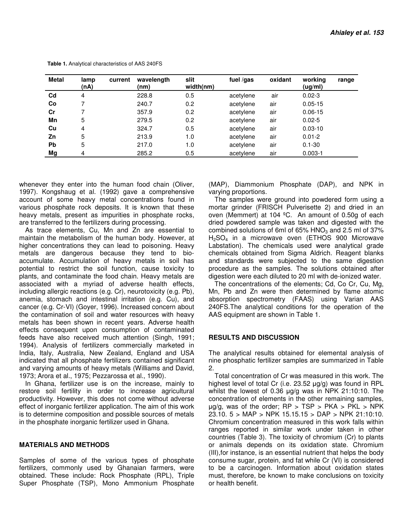| <b>Metal</b> | lamp<br>(nA)   | current | wavelength<br>(nm) | slit<br>width(nm) | fuel /gas | oxidant | working<br>(ug/ml) | range |
|--------------|----------------|---------|--------------------|-------------------|-----------|---------|--------------------|-------|
| $_{\rm Cd}$  | $\overline{4}$ |         | 228.8              | 0.5               | acetylene | air     | $0.02 - 3$         |       |
| Co           |                |         | 240.7              | 0.2               | acetylene | air     | $0.05 - 15$        |       |
| Cr           |                |         | 357.9              | 0.2               | acetylene | air     | $0.06 - 15$        |       |
| Mn           | 5              |         | 279.5              | 0.2               | acetylene | air     | $0.02 - 5$         |       |
| Cu           | $\overline{4}$ |         | 324.7              | 0.5               | acetylene | air     | $0.03 - 10$        |       |
| Zn           | 5              |         | 213.9              | 1.0               | acetylene | air     | $0.01 - 2$         |       |
| <b>Pb</b>    | 5              |         | 217.0              | 1.0               | acetylene | air     | $0.1 - 30$         |       |
| Mg           | 4              |         | 285.2              | 0.5               | acetylene | air     | $0.003 - 1$        |       |

 **Table 1.** Analytical characteristics of AAS 240FS

whenever they enter into the human food chain (Oliver, 1997). Kongshaug et al. (1992) gave a comprehensive account of some heavy metal concentrations found in various phosphate rock deposits. It is known that these heavy metals, present as impurities in phosphate rocks, are transferred to the fertilizers during processing.

As trace elements, Cu, Mn and Zn are essential to maintain the metabolism of the human body. However, at higher concentrations they can lead to poisoning. Heavy metals are dangerous because they tend to bioaccumulate. Accumulation of heavy metals in soil has potential to restrict the soil function, cause toxicity to plants, and contaminate the food chain. Heavy metals are associated with a myriad of adverse health effects, including allergic reactions (e.g. Cr), neurotoxicity (e.g. Pb), anemia, stomach and intestinal irritation (e.g. Cu), and cancer (e.g. Cr-VI) (Goyer, 1996). Increased concern about the contamination of soil and water resources with heavy metals has been shown in recent years. Adverse health effects consequent upon consumption of contaminated feeds have also received much attention (Singh, 1991; 1994). Analysis of fertilizers commercially marketed in India, Italy, Australia, New Zealand, England and USA indicated that all phosphate fertilizers contained significant and varying amounts of heavy metals (Williams and David, 1973; Arora et al., 1975; Pezzarossa et al., 1990).

In Ghana, fertilizer use is on the increase, mainly to restore soil fertility in order to increase agricultural productivity. However, this does not come without adverse effect of inorganic fertilizer application. The aim of this work is to determine composition and possible sources of metals in the phosphate inorganic fertilizer used in Ghana.

## **MATERIALS AND METHODS**

Samples of some of the various types of phosphate fertilizers, commonly used by Ghanaian farmers, were obtained. These include: Rock Phosphate (RPL), Triple Super Phosphate (TSP), Mono Ammonium Phosphate

(MAP), Diammonium Phosphate (DAP), and NPK in varying proportions.

The samples were ground into powdered form using a mortar grinder (FRISCH Pulverisette 2) and dried in an oven (Memmert) at 104 ºC. An amount of 0.50g of each dried powdered sample was taken and digested with the combined solutions of 6ml of 65%  $HNO<sub>3</sub>$  and 2.5 ml of 37% H2SO4 in a microwave oven (ETHOS 900 Microwave Labstation). The chemicals used were analytical grade chemicals obtained from Sigma Aldrich. Reagent blanks and standards were subjected to the same digestion procedure as the samples. The solutions obtained after digestion were each diluted to 20 ml with de-ionized water.

The concentrations of the elements; Cd, Co Cr, Cu, Mg, Mn, Pb and Zn were then determined by flame atomic absorption spectrometry (FAAS) using Varian AAS 240FS.The analytical conditions for the operation of the AAS equipment are shown in Table 1.

## **RESULTS AND DISCUSSION**

The analytical results obtained for elemental analysis of nine phosphatic fertilizer samples are summarized in Table 2.

Total concentration of Cr was measured in this work. The highest level of total Cr (i.e. 23.52 µg/g) was found in RPL whilst the lowest of 0.36 µg/g was in NPK 21:10:10. The concentration of elements in the other remaining samples,  $\mu$ g/g, was of the order; RP > TSP > PKA > PKL > NPK 23.10. 5 > MAP > NPK 15.15.15 > DAP > NPK 21:10:10. Chromium concentration measured in this work falls within ranges reported in similar work under taken in other countries (Table 3). The toxicity of chromium (Cr) to plants or animals depends on its oxidation state. Chromium (III),for instance, is an essential nutrient that helps the body consume sugar, protein, and fat while Cr (VI) is considered to be a carcinogen. Information about oxidation states must, therefore, be known to make conclusions on toxicity or health benefit.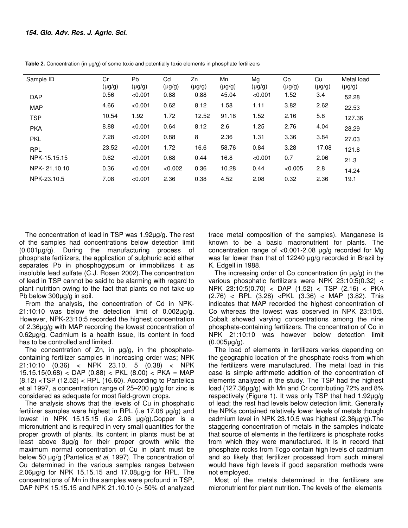| Sample ID    | Cr<br>$(\mu g/g)$ | Pb<br>$(\mu g/g)$ | Cd<br>(µg/g) | Zn<br>$(\mu g/g)$ | Mn<br>(µg/g) | Mg<br>(µg/g) | Co<br>(µg/g) | Cu<br>$(\mu g/g)$ | Metal load<br>$(\mu g/g)$ |
|--------------|-------------------|-------------------|--------------|-------------------|--------------|--------------|--------------|-------------------|---------------------------|
| <b>DAP</b>   | 0.56              | < 0.001           | 0.88         | 0.88              | 45.04        | < 0.001      | 1.52         | 3.4               | 52.28                     |
| <b>MAP</b>   | 4.66              | < 0.001           | 0.62         | 8.12              | 1.58         | 1.11         | 3.82         | 2.62              | 22.53                     |
| <b>TSP</b>   | 10.54             | 1.92              | 1.72         | 12.52             | 91.18        | 1.52         | 2.16         | 5.8               | 127.36                    |
| <b>PKA</b>   | 8.88              | < 0.001           | 0.64         | 8.12              | 2.6          | 1.25         | 2.76         | 4.04              | 28.29                     |
| <b>PKL</b>   | 7.28              | < 0.001           | 0.88         | 8                 | 2.36         | 1.31         | 3.36         | 3.84              | 27.03                     |
| <b>RPL</b>   | 23.52             | < 0.001           | 1.72         | 16.6              | 58.76        | 0.84         | 3.28         | 17.08             | 121.8                     |
| NPK-15.15.15 | 0.62              | < 0.001           | 0.68         | 0.44              | 16.8         | < 0.001      | 0.7          | 2.06              | 21.3                      |
| NPK-21.10.10 | 0.36              | < 0.001           | < 0.002      | 0.36              | 10.28        | 0.44         | < 0.005      | 2.8               | 14.24                     |
| NPK-23.10.5  | 7.08              | < 0.001           | 2.36         | 0.38              | 4.52         | 2.08         | 0.32         | 2.36              | 19.1                      |

**Table 2.** Concentration (in  $\mu$ g/g) of some toxic and potentially toxic elements in phosphate fertilizers

The concentration of lead in TSP was 1.92µg/g. The rest of the samples had concentrations below detection limit (0.001µg/g). During the manufacturing process of phosphate fertilizers, the application of sulphuric acid either separates Pb in phosphogypsum or immobilizes it as insoluble lead sulfate (C.J. Rosen 2002).The concentration of lead in TSP cannot be said to be alarming with regard to plant nutrition owing to the fact that plants do not take-up Pb below 300µg/g in soil.

From the analysis, the concentration of Cd in NPK- $21:10:10$  was below the detection limit of  $0.002\mu g/g$ . However, NPK-23:10:5 recorded the highest concentration of 2.36µg/g with MAP recording the lowest concentration of 0.62µg/g. Cadmium is a health issue, its content in food has to be controlled and limited.

The concentration of Zn, in  $\mu q/q$ , in the phosphatecontaining fertilizer samples in increasing order was; NPK 21:10:10 (0.36) < NPK 23.10. 5 (0.38) < NPK  $15.15.15(0.68) <$  DAP  $(0.88) <$  PKL  $(8.00) <$  PKA = MAP (8.12) <TSP (12.52) < RPL (16.60). According to Pantelica et al 1997, a concentration range of 25–200 µg/g for zinc is considered as adequate for most field-grown crops.

The analysis shows that the levels of Cu in phosphatic fertilizer samples were highest in RPL (i.e 17.08 µg/g) and lowest in NPK 15.15.15 (i.e 2.06 µg/g).Copper is a micronutrient and is required in very small quantities for the proper growth of plants. Its content in plants must be at least above 3µg/g for their proper growth while the maximum normal concentration of Cu in plant must be below 50 µg/g (Pantelica *et al,* 1997). The concentration of Cu determined in the various samples ranges between 2.06µg/g for NPK 15.15.15 and 17.08µg/g for RPL. The concentrations of Mn in the samples were profound in TSP, DAP NPK 15.15.15 and NPK 21.10.10 (> 50% of analyzed

trace metal composition of the samples). Manganese is known to be a basic macronutrient for plants. The concentration range of <0.001-2.08 µg/g recorded for Mg was far lower than that of 12240 ug/g recorded in Brazil by K. Edgell in 1988.

The increasing order of Co concentration (in  $\mu$ g/g) in the various phosphatic fertilizers were NPK 23:10:5(0.32) < NPK 23:10:5(0.70) < DAP (1.52) < TSP (2.16) < PKA (2.76) < RPL (3.28) <PKL (3.36) < MAP (3.82). This indicates that MAP recorded the highest concentration of Co whereas the lowest was observed in NPK 23:10:5. Cobalt showed varying concentrations among the nine phosphate-containing fertilizers. The concentration of Co in NPK 21:10:10 was however below detection limit (0.005µg/g).

The load of elements in fertilizers varies depending on the geographic location of the phosphate rocks from which the fertilizers were manufactured. The metal load in this case is simple arithmetic addition of the concentration of elements analyzed in the study. The TSP had the highest load (127.36µg/g) with Mn and Cr contributing 72% and 8% respectively (Figure 1). It was only TSP that had 1.92µg/g of lead; the rest had levels below detection limit. Generally the NPKs contained relatively lower levels of metals though cadmium level in NPK 23.10.5 was highest (2.36µg/g).The staggering concentration of metals in the samples indicate that source of elements in the fertilizers is phosphate rocks from which they were manufactured. It is in record that phosphate rocks from Togo contain high levels of cadmium and so likely that fertilizer processed from such mineral would have high levels if good separation methods were not employed.

Most of the metals determined in the fertilizers are micronutrient for plant nutrition. The levels of the elements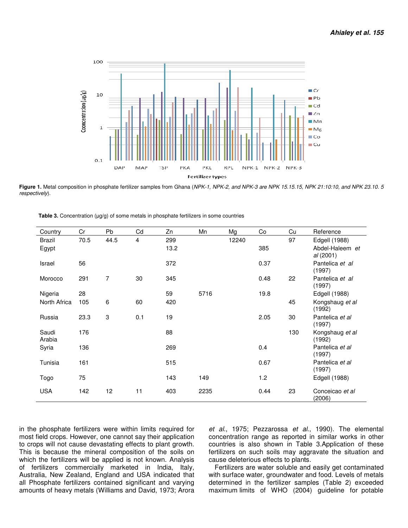

Figure 1. Metal composition in phosphate fertilizer samples from Ghana (NPK-1, NPK-2, and NPK-3 are NPK 15.15, NPK 21:10:10, and NPK 23.10. 5 *respectively*).

| Country         | Cr   | Pb   | Cd             | Zn   | Mn   | Mg    | Co   | Cu  | Reference                    |
|-----------------|------|------|----------------|------|------|-------|------|-----|------------------------------|
| Brazil          | 70.5 | 44.5 | $\overline{4}$ | 299  |      | 12240 |      | 97  | Edgell (1988)                |
| Egypt           |      |      |                | 13.2 |      |       | 385  |     | Abdel-Haleem et<br>al (2001) |
| Israel          | 56   |      |                | 372  |      |       | 0.37 |     | Pantelica et al<br>(1997)    |
| Morocco         | 291  | 7    | 30             | 345  |      |       | 0.48 | 22  | Pantelica et al<br>(1997)    |
| Nigeria         | 28   |      |                | 59   | 5716 |       | 19.8 |     | Edgell (1988)                |
| North Africa    | 105  | 6    | 60             | 420  |      |       |      | 45  | Kongshaug et al<br>(1992)    |
| Russia          | 23.3 | 3    | 0.1            | 19   |      |       | 2.05 | 30  | Pantelica et al<br>(1997)    |
| Saudi<br>Arabia | 176  |      |                | 88   |      |       |      | 130 | Kongshaug et al<br>(1992)    |
| Syria           | 136  |      |                | 269  |      |       | 0.4  |     | Pantelica et al<br>(1997)    |
| Tunisia         | 161  |      |                | 515  |      |       | 0.67 |     | Pantelica et al<br>(1997)    |
| Togo            | 75   |      |                | 143  | 149  |       | 1.2  |     | Edgell (1988)                |
| <b>USA</b>      | 142  | 12   | 11             | 403  | 2235 |       | 0.44 | 23  | Conceicao et al<br>(2006)    |

**Table 3.** Concentration (µg/g) of some metals in phosphate fertilizers in some countries

in the phosphate fertilizers were within limits required for most field crops. However, one cannot say their application to crops will not cause devastating effects to plant growth. This is because the mineral composition of the soils on which the fertilizers will be applied is not known. Analysis of fertilizers commercially marketed in India, Italy, of fertilizers commercially marketed in India, Italy,<br>Australia, New Zealand, England and USA indicated that all Phosphate fertilizers contained significant and varying amounts of heavy metals (Williams and David, 1973; Arora he phosphate fertilizers were within limits required for *et al.*, 1975; Pezzarossa *et als* the fertilizers. However, one cannot say their application concentration range as reported crops will not cause devastating effec

concentration range as reported in similar works in other countries is also shown in Table 3.Application of these fertilizers on such soils may aggravate the situation and cause deleterious effects to plants. et al., 1975; Pezzarossa et al., 1990). The elemental

Fertilizers are water soluble and easily get contaminated with surface water, groundwater and food. Levels of metals determined in the fertilizer samples (Table 2) exceeded maximum limits of WHO (2004) (2004) guideline for potable se deleterious effects to plants.<br>ertilizers are water soluble and easily get contaminated<br>ı surface water, groundwater and food. Levels of metals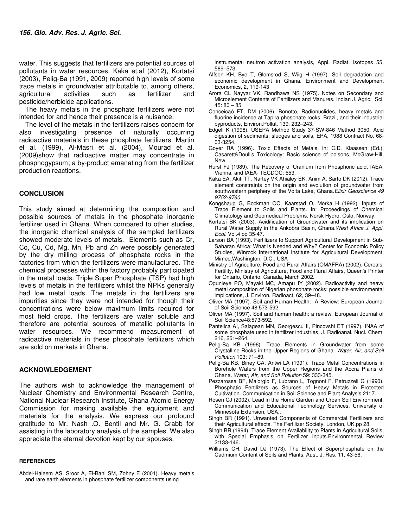water. This suggests that fertilizers are potential sources of pollutants in water resources. Kaka et.al (2012), Kortatsi (2003), Pelig-Ba (1991, 2009) reported high levels of some trace metals in groundwater attributable to, among others, agricultural activities such as fertilizer and pesticide/herbicide applications.

The heavy metals in the phosphate fertilizers were not intended for and hence their presence is a nuisance.

The level of the metals in the fertilizers raises concern for also investigating presence of naturally occurring radioactive materials in these phosphate fertilizers. Martin el al. (1999), Al-Masri et al. (2004), Mourad et al. (2009)show that radioactive matter may concentrate in phosphogypsum; a by-product emanating from the fertilizer production reactions.

### **CONCLUSION**

This study aimed at determining the composition and possible sources of metals in the phosphate inorganic fertilizer used in Ghana. When compared to other studies, the inorganic chemical analysis of the sampled fertilizers showed moderate levels of metals. Elements such as Cr, Co, Cu, Cd, Mg, Mn, Pb and Zn were possibly generated by the dry milling process of phosphate rocks in the factories from which the fertilizers were manufactured. The chemical processes within the factory probably participated in the metal loads. Triple Super Phosphate (TSP) had high levels of metals in the fertilizers whilst the NPKs generally had low metal loads. The metals in the fertilizers are impurities since they were not intended for though their concentrations were below maximum limits required for most field crops. The fertilizers are water soluble and therefore are potential sources of metallic pollutants in water resources. We recommend measurement of radioactive materials in these phosphate fertilizers which are sold on markets in Ghana.

#### **ACKNOWLEDGEMENT**

The authors wish to acknowledge the management of Nuclear Chemistry and Environmental Research Centre, National Nuclear Research Institute, Ghana Atomic Energy Commission for making available the equipment and materials for the analysis. We express our profound gratitude to Mr. Nash .O. Bentil and Mr. G. Crabb for assisting in the laboratory analysis of the samples. We also appreciate the eternal devotion kept by our spouses.

#### **REFERENCES**

Abdel-Haleem AS, Sroor A, El-Bahi SM, Zohny E (2001). Heavy metals and rare earth elements in phosphate fertilizer components using

 instrumental neutron activation analysis, Appl. Radiat. Isotopes 55, 569–573.

- Alfsen KH, Bye T, Glomsrod S, Wiig H (1997). Soil degradation and economic development in Ghana. Environment and Development Economics, 2, 119-143
- Arora CL Nayyar VK, Randhawa NS (1975). Notes on Secondary and Microelement Contents of Fertilizers and Manures. Indian J. Agric. Sci. 45: 80 – 85.
- Conceicaõ FT, DM (2006). Bonotto, Radionuclides, heavy metals and fluorine incidence at Tapira phosphate rocks, Brazil, and their industrial byproducts, Environ.Pollut. 139, 232–243.
- Edgell K (1998). USEPA Method Study 37-SW-846 Method 3050, Acid digestion of sediments, sludges and soils, EPA, 1988 Contract No. 68- 03-3254.
- Goyer RA (1996). Toxic Effects of Metals, in: C.D. Klaassen (Ed.), Casarett&Doull's Toxicology: Basic science of poisons, McGraw-Hill, New.
- Hurst FJ (1989). The Recovery of Uranium from Phosphoric acid, IAEA, Vienna, and IAEA- TECDOC: 553.
- Kaka EA, Akiti TT, Nartey VK Ahialey EK, Anim A, Sarfo DK (2012). Trace element constraints on the origin and evolution of groundwater from southwestern periphery of the Volta Lake, Ghana.*Elixir Geoscience 49 9752-9760*
- Kongshaug G, Bockman OC, Kaarstad O, Morka H (1992). Inputs of Trace Element to Soils and Plants. In: Proceedings of Chemical Climatology and Geomedical Problems. Norsk Hydro, Oslo, Norway.
- Kortatsi BK (2003). Acidification of Groundwater and its implication on Rural Water Supply in the Ankobra Basin, Ghana.*West Africa J. Appl. Ecol.* Vol.4 pp 35-47.
- Larson BA (1993). Fertilizers to Support Agricultural Development in Sub-Saharan Africa: What is Needed and Why? Center for Economic Policy Studies, Winrock International Institute for Agricultural Development, Mimeo,Washington, D.C., USA
- Ministry of Agriculture, Food and Rural Affairs (OMAFRA) (2002). Cereals: Fertility, Ministry of Agriculture, Food and Rural Affairs, Queen's Printer for Ontario, Ontario, Canada, March 2002.
- Ogunleye PO, Mayaki MC, Amapu IY (2002). Radioactivity and heavy metal composition of Nigerian phosphate rocks: possible environmental implications, J. Environ. Radioact. 62, 39–48.
- Oliver MA (1997). Soil and Human Health: A Review: European Journal of Soil Science 48:573-592.
- Oliver MA (1997). Soil and human health: a review. European Journal of Soil Science48:573-592.
- Pantelica AI, Salagean MN, Georgescu II, Pincovshi ET (1997). INAA of some phosphate used in fertilizer industries, J. Radioanal. Nucl. Chem. 216, 261–264.
- Pelig-Ba KB (1996). Trace Elements in Groundwater from some Crystalline Rocks in the Upper Regions of Ghana. *Water, Air, and Soil Pollution* 103: 71–89.
- Pelig-Ba KB, Biney CA, Antwi LA (1991). Trace Metal Concentrations in Borehole Waters from the Upper Regions and the Accra Plains of Ghana. *Water, Air, and Soil Pollution* 59: 333-345.
- Pezzarossa BF, Malorgio F, Lubrano L, Tognoni F, Petruzzeli G (1990). Phosphatic Fertilizers as Sources of Heavy Metals in Protected Cultivation. Communication in Soil Science and Plant Analysis 21: 7.
- Rosen CJ (2002). Lead in the Home Garden and Urban Soil Environment, Communication and Educational Technology Services, University of Minnesota Extension, USA,.
- Singh BR (1991). Unwanted Components of Commercial Fertilizers and their Agricultural effects. The Fertilizer Society, London, UK.pp 28.
- Singh BR (1994). Trace Element Availability to Plants in Agricultural Soils, with Special Emphasis on Fertilizer Inputs.Environmental Review 2:133-146.
- Williams CH, David DJ (1973). The Effect of Superphosphate on the Cadmium Content of Soils and Plants, Aust. J. Res. 11, 43-56.